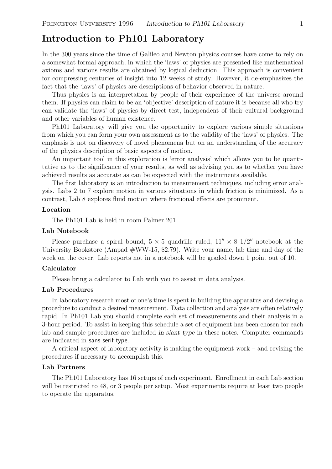# Introduction to Ph101 Laboratory

In the 300 years since the time of Galileo and Newton physics courses have come to rely on a somewhat formal approach, in which the 'laws' of physics are presented like mathematical axioms and various results are obtained by logical deduction. This approach is convenient for compressing centuries of insight into 12 weeks of study. However, it de-emphasizes the fact that the 'laws' of physics are descriptions of behavior observed in nature.

Thus physics is an interpretation by people of their experience of the universe around them. If physics can claim to be an 'objective' description of nature it is because all who try can validate the 'laws' of physics by direct test, independent of their cultural background and other variables of human existence.

Ph101 Laboratory will give you the opportunity to explore various simple situations from which you can form your own assessment as to the validity of the 'laws' of physics. The emphasis is not on discovery of novel phenomena but on an understanding of the accuracy of the physics description of basic aspects of motion.

An important tool in this exploration is 'error analysis' which allows you to be quantitative as to the significance of your results, as well as advising you as to whether you have achieved results as accurate as can be expected with the instruments available.

The first laboratory is an introduction to measurement techniques, including error analysis. Labs 2 to 7 explore motion in various situations in which friction is minimized. As a contrast, Lab 8 explores fluid motion where frictional effects are prominent.

## Location

The Ph101 Lab is held in room Palmer 201.

## Lab Notebook

Please purchase a spiral bound,  $5 \times 5$  quadrille ruled,  $11'' \times 8$  1/2" notebook at the University Bookstore (Ampad  $#WW-15$ , \$2.79). Write your name, lab time and day of the week on the cover. Lab reports not in a notebook will be graded down 1 point out of 10.

#### Calculator

Please bring a calculator to Lab with you to assist in data analysis.

## Lab Procedures

In laboratory research most of one's time is spent in building the apparatus and devising a procedure to conduct a desired measurement. Data collection and analysis are often relatively rapid. In Ph101 Lab you should complete each set of measurements and their analysis in a 3-hour period. To assist in keeping this schedule a set of equipment has been chosen for each lab and sample procedures are included in slant type in these notes. Computer commands are indicated in sans serif type.

A critical aspect of laboratory activity is making the equipment work – and revising the procedures if necessary to accomplish this.

### Lab Partners

The Ph101 Laboratory has 16 setups of each experiment. Enrollment in each Lab section will be restricted to 48, or 3 people per setup. Most experiments require at least two people to operate the apparatus.